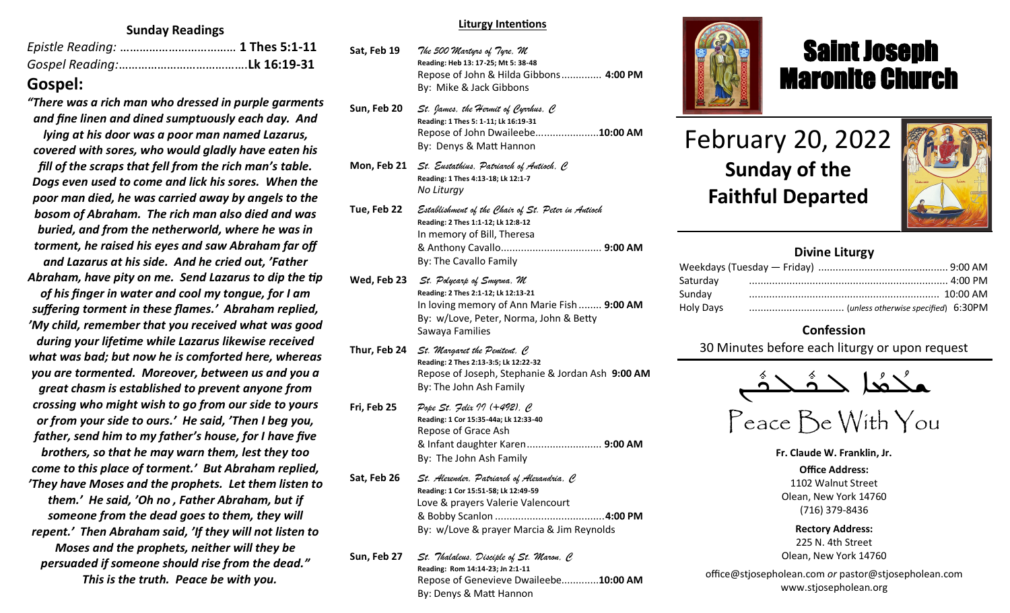#### **Sunday Readings**

## **Gospel:**

*"There was a rich man who dressed in purple garments and fine linen and dined sumptuously each day. And* 

*lying at his door was a poor man named Lazarus, covered with sores, who would gladly have eaten his fill of the scraps that fell from the rich man's table. Dogs even used to come and lick his sores. When the poor man died, he was carried away by angels to the bosom of Abraham. The rich man also died and was buried, and from the netherworld, where he was in torment, he raised his eyes and saw Abraham far off and Lazarus at his side. And he cried out, 'Father Abraham, have pity on me. Send Lazarus to dip the tip of his finger in water and cool my tongue, for I am suffering torment in these flames.' Abraham replied, 'My child, remember that you received what was good during your lifetime while Lazarus likewise received what was bad; but now he is comforted here, whereas you are tormented. Moreover, between us and you a great chasm is established to prevent anyone from crossing who might wish to go from our side to yours or from your side to ours.' He said, 'Then I beg you, father, send him to my father's house, for I have five brothers, so that he may warn them, lest they too come to this place of torment.' But Abraham replied, 'They have Moses and the prophets. Let them listen to them.' He said, 'Oh no , Father Abraham, but if someone from the dead goes to them, they will repent.' Then Abraham said, 'If they will not listen to Moses and the prophets, neither will they be persuaded if someone should rise from the dead."* 

 *This is the truth. Peace be with you.*

#### **Liturgy Intentions**

- **Sat, Feb 19** *The 500 Martyrs of Tyre, M* **Reading: Heb 13: 17-25; Mt 5: 38-48** Repose of John & Hilda Gibbons.............. **4:00 PM** By: Mike & Jack Gibbons **Sun, Feb 20** *St. James, the Hermit of Cyrrhus, C* **Reading: 1 Thes 5: 1-11; Lk 16:19-31** Repose of John Dwaileebe......................**10:00 AM** By: Denys & Matt Hannon
- **Mon, Feb 21** *St. Eustathius, Patriarch of Antioch, C* **Reading: 1 Thes 4:13-18; Lk 12:1-7** *No Liturgy*
- **Tue, Feb 22** *Establishment of the Chair of St. Peter in Antioch* **Reading: 2 Thes 1:1-12; Lk 12:8-12** In memory of Bill, Theresa & Anthony Cavallo................................... **9:00 AM** By: The Cavallo Family
- **Wed, Feb 23** *St. Polycarp of Smyrna, M* **Reading: 2 Thes 2:1-12; Lk 12:13-21** In loving memory of Ann Marie Fish ........ **9:00 AM** By: w/Love, Peter, Norma, John & Betty Sawaya Families
- **Thur, Feb 24** *St. Margaret the Penitent, C* **Reading: 2 Thes 2:13-3:5; Lk 12:22-32** Repose of Joseph, Stephanie & Jordan Ash **9:00 AM**  By: The John Ash Family
- **Fri, Feb 25** *Pope St. Felix II (+492), C* **Reading: 1 Cor 15:35-44a; Lk 12:33-40** Repose of Grace Ash & Infant daughter Karen.......................... **9:00 AM** By: The John Ash Family
- **Sat, Feb 26** *St. Alexender, Patriarch of Alexandria, C* **Reading: 1 Cor 15:51-58; Lk 12:49-59** Love & prayers Valerie Valencourt & Bobby Scanlon ......................................**4:00 PM** By: w/Love & prayer Marcia & Jim Reynolds
- **Sun, Feb 27** *St. Thalaleus, Disciple of St. Maron, C* **Reading: Rom 14:14-23; Jn 2:1-11** Repose of Genevieve Dwaileebe.............**10:00 AM** By: Denys & Matt Hannon



# Saint Joseph Maronite Church

# February 20, 2022 **Sunday of the Faithful Departed**

ī



## **Divine Liturgy**

| Saturday  |  |
|-----------|--|
| Sunday    |  |
| Holy Days |  |

## **Confession**

30 Minutes before each liturgy or upon request

ـܢ  $\frac{1}{2}$ ـدهٔ<br>ــدهٔ  $\frac{1}{2}$ |<br>| حدَّث —<br>ص ـدهُد  $\frac{1}{\sqrt{2}}$ ܫܠ

Peace Be With You

**Fr. Claude W. Franklin, Jr.**

**Office Address:** 1102 Walnut Street Olean, New York 14760 (716) 379-8436

**Rectory Address:** 225 N. 4th Street Olean, New York 14760

office@stjosepholean.com *or* pastor@stjosepholean.com www.stjosepholean.org